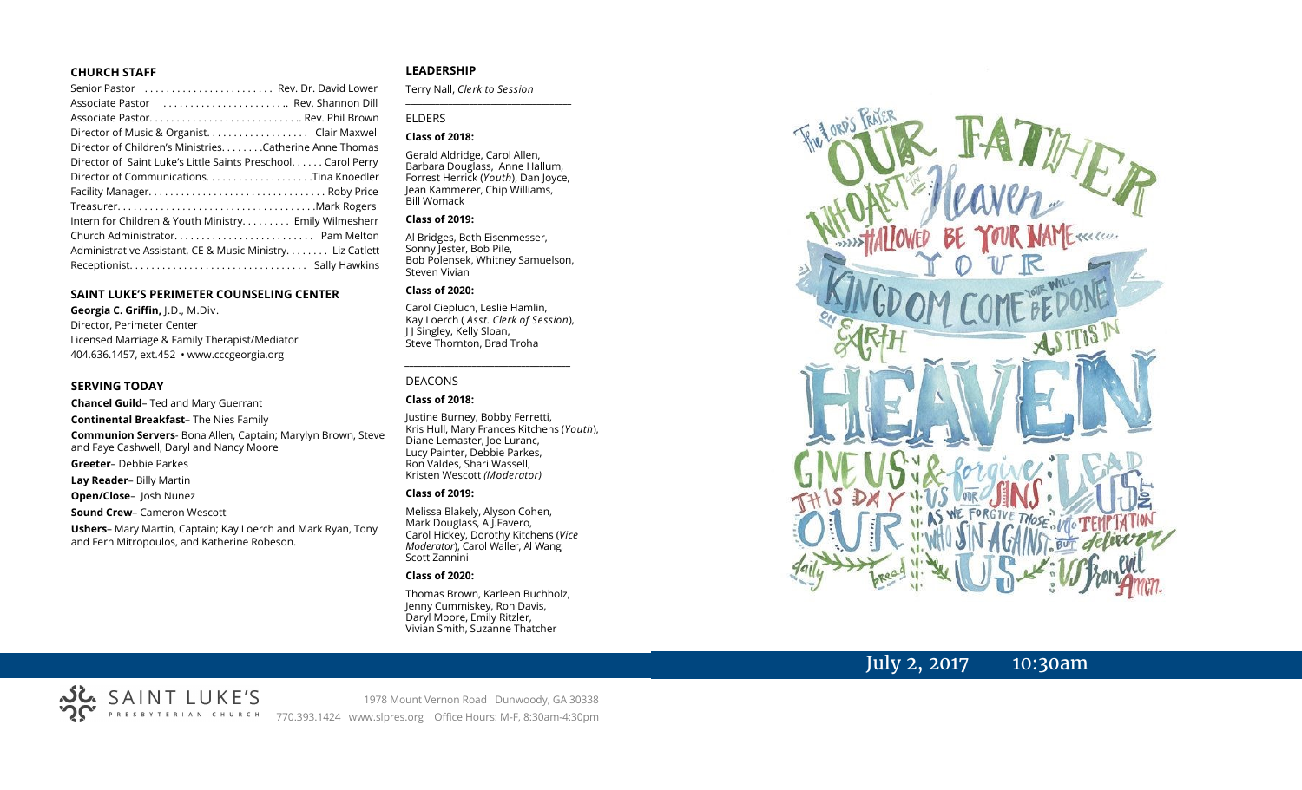#### **CHURCH STAFF**

| Senior Pastor  Rev. Dr. David Lower                          |
|--------------------------------------------------------------|
| Associate Pastor  Rev. Shannon Dill                          |
|                                                              |
| Director of Music & Organist. Clair Maxwell                  |
| Director of Children's Ministries. Catherine Anne Thomas     |
| Director of Saint Luke's Little Saints Preschool Carol Perry |
|                                                              |
|                                                              |
|                                                              |
| Intern for Children & Youth Ministry Emily Wilmesherr        |
|                                                              |
| Administrative Assistant, CE & Music Ministry Liz Catlett    |
|                                                              |

#### **SAINT LUKE'S PERIMETER COUNSELING CENTER**

**Georgia C. Griffin,** J.D., M.Div. Director, Perimeter Center Licensed Marriage & Family Therapist/Mediator 404.636.1457, ext.452 • www.cccgeorgia.org

#### **SERVING TODAY**

**Chancel Guild**– Ted and Mary Guerrant **Continental Breakfast**– The Nies Family

**Communion Servers**- Bona Allen, Captain; Marylyn Brown, Steve and Faye Cashwell, Daryl and Nancy Moore

- **Greeter** Debbie Parkes
- **Lay Reader** Billy Martin

**Open/Close**– Josh Nunez

#### **Sound Crew**– Cameron Wescott

**Ushers**– Mary Martin, Captain; Kay Loerch and Mark Ryan, Tony and Fern Mitropoulos, and Katherine Robeson.

#### **LEADERSHIP**

Terry Nall, *Clerk to Session* 

**\_\_\_\_\_\_\_\_\_\_\_\_\_\_\_\_\_\_\_\_\_\_\_\_\_\_\_\_\_\_\_\_\_\_\_\_\_\_\_**

#### ELDERS

#### **Class of 2018:**

Gerald Aldridge, Carol Allen, Barbara Douglass, Anne Hallum, Forrest Herrick (*Youth*), Dan Joyce, Jean Kammerer, Chip Williams, Bill Womack

#### **Class of 2019:**

Al Bridges, Beth Eisenmesser, Sonny Jester, Bob Pile, Bob Polensek, Whitney Samuelson, Steven Vivian

#### **Class of 2020:**

Carol Ciepluch, Leslie Hamlin, Kay Loerch ( *Asst. Clerk of Session*), J J Singley, Kelly Sloan, Steve Thornton, Brad Troha

*\_\_\_\_\_\_\_\_\_\_\_\_\_\_\_\_\_\_\_\_\_\_\_\_\_\_\_\_\_\_\_\_\_\_\_\_\_*

#### DEACONS

#### **Class of 2018:**

Justine Burney, Bobby Ferretti, Kris Hull, Mary Frances Kitchens (*Youth*), Diane Lemaster, Joe Luranc, Lucy Painter, Debbie Parkes, Ron Valdes, Shari Wassell, Kristen Wescott *(Moderator)*

#### **Class of 2019:**

Melissa Blakely, Alyson Cohen, Mark Douglass, A.J.Favero, Carol Hickey, Dorothy Kitchens (*Vice Moderator*), Carol Waller, Al Wang, Scott Zannini

#### **Class of 2020:**

Thomas Brown, Karleen Buchholz, Jenny Cummiskey, Ron Davis, Daryl Moore, Emily Ritzler, Vivian Smith, Suzanne Thatcher



## July 2, 2017 10:30am



1978 Mount Vernon Road Dunwoody, GA 30338 770.393.1424 www.slpres.org Office Hours: M-F, 8:30am-4:30pm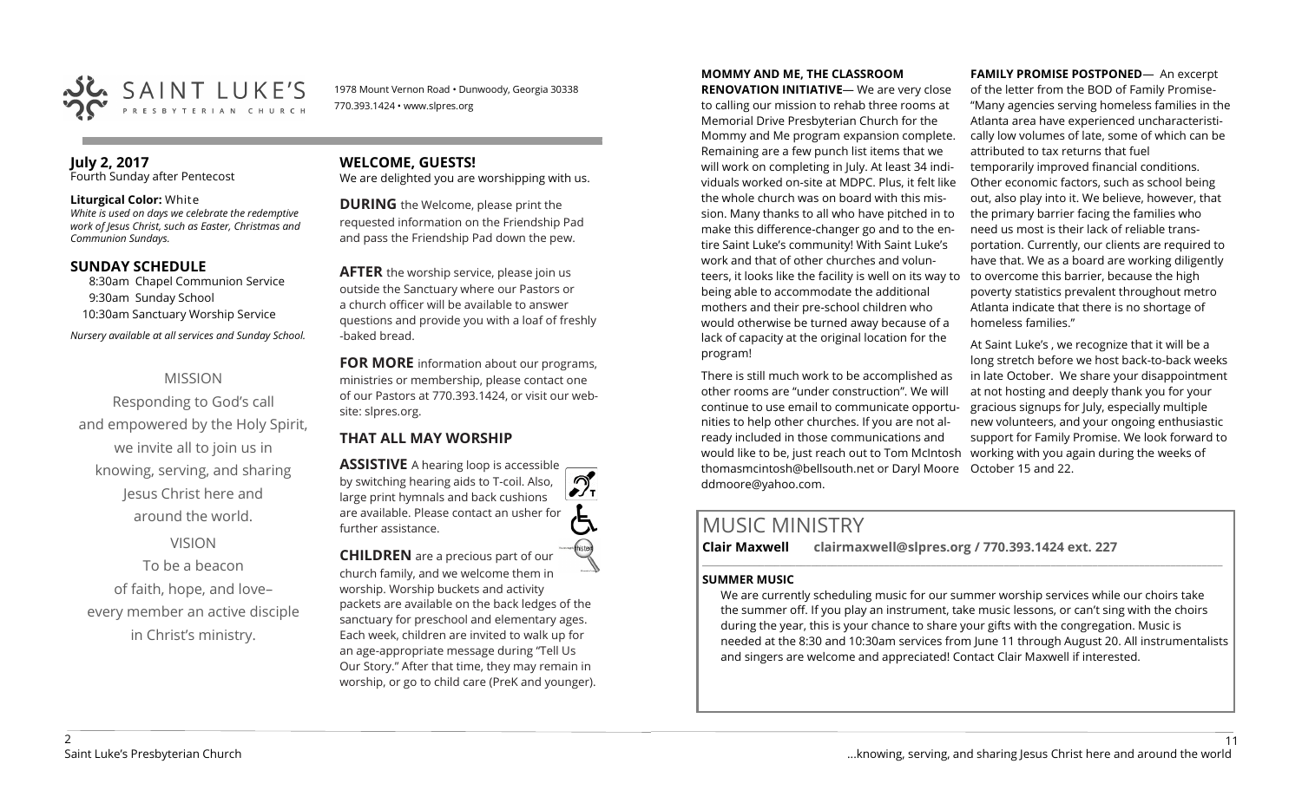

1978 Mount Vernon Road • Dunwoody, Georgia 30338 770.393.1424 • www.slpres.org

## **July 2, 2017**

Fourth Sunday after Pentecost

#### **Liturgical Color:** White

*White is used on days we celebrate the redemptive work of Jesus Christ, such as Easter, Christmas and Communion Sundays.* 

#### **SUNDAY SCHEDULE**

8:30am Chapel Communion Service 9:30am Sunday School 10:30am Sanctuary Worship Service *Nursery available at all services and Sunday School.* 

## MISSION

Responding to God's call and empowered by the Holy Spirit, we invite all to join us in knowing, serving, and sharing Jesus Christ here and around the world.

## VISION

To be a beacon of faith, hope, and love– every member an active disciple in Christ's ministry.

# **WELCOME, GUESTS!**

We are delighted you are worshipping with us.

**DURING** the Welcome, please print the requested information on the Friendship Pad and pass the Friendship Pad down the pew.

**AFTER** the worship service, please join us outside the Sanctuary where our Pastors or a church officer will be available to answer questions and provide you with a loaf of freshly -baked bread.

**FOR MORE** information about our programs, ministries or membership, please contact one of our Pastors at 770.393.1424, or visit our website: slpres.org.

## **THAT ALL MAY WORSHIP**

**ASSISTIVE** A hearing loop is accessible  $\mathcal{D}_{\mathbf{r}}$ by switching hearing aids to T-coil. Also, large print hymnals and back cushions are available. Please contact an usher for further assistance. **CHILDREN** are a precious part of our

church family, and we welcome them in worship. Worship buckets and activity packets are available on the back ledges of the sanctuary for preschool and elementary ages. Each week, children are invited to walk up for an age-appropriate message during "Tell Us Our Story." After that time, they may remain in worship, or go to child care (PreK and younger).

## **MOMMY AND ME, THE CLASSROOM**

**RENOVATION INITIATIVE**— We are very close to calling our mission to rehab three rooms at Memorial Drive Presbyterian Church for the Mommy and Me program expansion complete. Remaining are a few punch list items that we will work on completing in July. At least 34 individuals worked on-site at MDPC. Plus, it felt like the whole church was on board with this mission. Many thanks to all who have pitched in to make this difference-changer go and to the entire Saint Luke's community! With Saint Luke's work and that of other churches and volunteers, it looks like the facility is well on its way to being able to accommodate the additional mothers and their pre-school children who would otherwise be turned away because of a lack of capacity at the original location for the program!

There is still much work to be accomplished as other rooms are "under construction". We will continue to use email to communicate opportunities to help other churches. If you are not already included in those communications and would like to be, just reach out to Tom McIntosh [thomasmcintosh@bellsouth.net](mailto:thomasmcintosh@bellsouth.net) or Daryl Moore October 15 and 22.[ddmoore@yahoo.com.](mailto:ddmoore@yahoo.com)

#### **FAMILY PROMISE POSTPONED**— An excerpt of the letter from the BOD of Family Promise- "Many agencies serving homeless families in the Atlanta area have experienced uncharacteristically low volumes of late, some of which can be attributed to tax returns that fuel temporarily improved financial conditions. Other economic factors, such as school being out, also play into it. We believe, however, that the primary barrier facing the families who need us most is their lack of reliable transportation. Currently, our clients are required to have that. We as a board are working diligently to overcome this barrier, because the high poverty statistics prevalent throughout metro Atlanta indicate that there is no shortage of homeless families."

At Saint Luke's , we recognize that it will be a long stretch before we host back-to-back weeks in late October. We share your disappointment at not hosting and deeply thank you for your gracious signups for July, especially multiple new volunteers, and your ongoing enthusiastic support for Family Promise. We look forward to working with you again during the weeks of

# MUSIC MINISTRY

**Clair Maxwell clairmaxwell@slpres.org / 770.393.1424 ext. 227** 

#### **SUMMER MUSIC**

We are currently scheduling music for our summer worship services while our choirs take the summer off. If you play an instrument, take music lessons, or can't sing with the choirs during the year, this is your chance to share your gifts with the congregation. Music is needed at the 8:30 and 10:30am services from June 11 through August 20. All instrumentalists and singers are welcome and appreciated! Contact Clair Maxwell if interested.

\_\_\_\_\_\_\_\_\_\_\_\_\_\_\_\_\_\_\_\_\_\_\_\_\_\_\_\_\_\_\_\_\_\_\_\_\_\_\_\_\_\_\_\_\_\_\_\_\_\_\_\_\_\_\_\_\_\_\_\_\_\_\_\_\_\_\_\_\_\_\_\_\_\_\_\_\_\_\_\_\_\_\_\_\_\_\_\_\_\_\_\_\_\_\_\_\_\_\_\_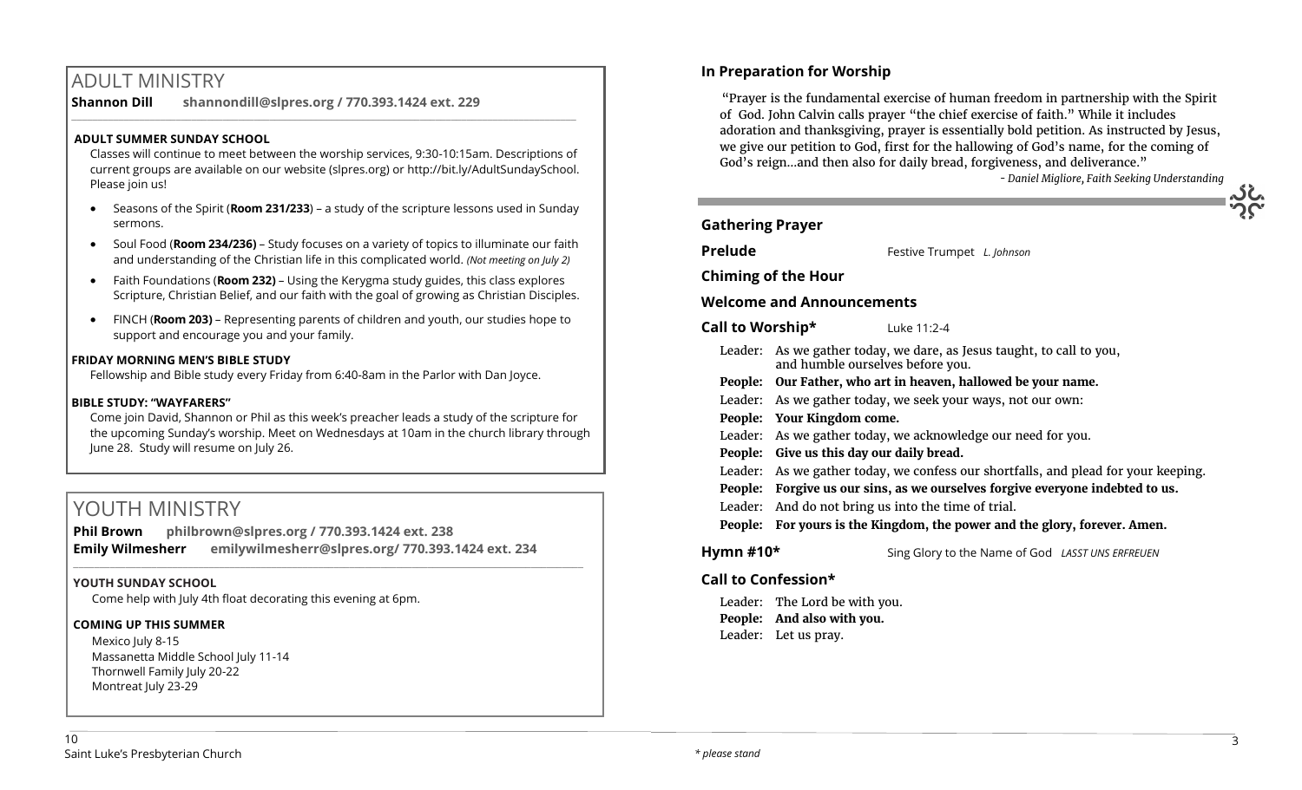# ADULT MINISTRY

**Shannon Dill shannondill@slpres.org / 770.393.1424 ext. 229** 

### **ADULT SUMMER SUNDAY SCHOOL**

Classes will continue to meet between the worship services, 9:30-10:15am. Descriptions of current groups are available on our website (slpres.org) or http://bit.ly/AdultSundaySchool. Please join us!

 $\_$  ,  $\_$  ,  $\_$  ,  $\_$  ,  $\_$  ,  $\_$  ,  $\_$  ,  $\_$  ,  $\_$  ,  $\_$  ,  $\_$  ,  $\_$  ,  $\_$  ,  $\_$  ,  $\_$  ,  $\_$  ,  $\_$  ,  $\_$  ,  $\_$  ,  $\_$ 

- Seasons of the Spirit (**Room 231/233**) a study of the scripture lessons used in Sunday sermons.
- Soul Food (**Room 234/236)**  Study focuses on a variety of topics to illuminate our faith and understanding of the Christian life in this complicated world. *(Not meeting on July 2)*
- Faith Foundations (**Room 232)**  Using the Kerygma study guides, this class explores Scripture, Christian Belief, and our faith with the goal of growing as Christian Disciples.
- FINCH (**Room 203)** Representing parents of children and youth, our studies hope to support and encourage you and your family.

#### **FRIDAY MORNING MEN'S BIBLE STUDY**

Fellowship and Bible study every Friday from 6:40-8am in the Parlor with Dan Joyce.

#### **BIBLE STUDY: "WAYFARERS"**

Come join David, Shannon or Phil as this week's preacher leads a study of the scripture for the upcoming Sunday's worship. Meet on Wednesdays at 10am in the church library through June 28. Study will resume on July 26.

# YOUTH MINISTRY

**Phil Brown philbrown@slpres.org / 770.393.1424 ext. 238 Emily Wilmesherr emilywilmesherr@slpres.org/ 770.393.1424 ext. 234** 

 $\_$  ,  $\_$  ,  $\_$  ,  $\_$  ,  $\_$  ,  $\_$  ,  $\_$  ,  $\_$  ,  $\_$  ,  $\_$  ,  $\_$  ,  $\_$  ,  $\_$  ,  $\_$  ,  $\_$  ,  $\_$  ,  $\_$  ,  $\_$  ,  $\_$  ,  $\_$  ,  $\_$  ,  $\_$  ,  $\_$  ,  $\_$  ,  $\_$  ,  $\_$  ,  $\_$  ,  $\_$  ,  $\_$  ,  $\_$  ,  $\_$  ,  $\_$  ,  $\_$  ,  $\_$  ,  $\_$  ,  $\_$  ,  $\_$  ,

#### **YOUTH SUNDAY SCHOOL**

Come help with July 4th float decorating this evening at 6pm.

#### **COMING UP THIS SUMMER**

Mexico Iuly 8-15 Massanetta Middle School July 11-14 Thornwell Family July 20-22 Montreat July 23-29

## **In Preparation for Worship**

"Prayer is the fundamental exercise of human freedom in partnership with the Spirit of God. John Calvin calls prayer "the chief exercise of faith." While it includes adoration and thanksgiving, prayer is essentially bold petition. As instructed by Jesus, we give our petition to God, first for the hallowing of God's name, for the coming of God's reign…and then also for daily bread, forgiveness, and deliverance."

*- Daniel Migliore, Faith Seeking Understanding*

## **Gathering Prayer**

**Prelude** Festive Trumpet *L. Johnson* 

**Chiming of the Hour**

## **Welcome and Announcements**

**Call to Worship\*** Luke 11:2-4

- Leader: As we gather today, we dare, as Jesus taught, to call to you, and humble ourselves before you.
- **People: Our Father, who art in heaven, hallowed be your name.**
- Leader: As we gather today, we seek your ways, not our own:
- **People: Your Kingdom come.**
- Leader: As we gather today, we acknowledge our need for you.
- **People: Give us this day our daily bread.**
- Leader: As we gather today, we confess our shortfalls, and plead for your keeping.
- **People: Forgive us our sins, as we ourselves forgive everyone indebted to us.**
- Leader: And do not bring us into the time of trial.
- **People: For yours is the Kingdom, the power and the glory, forever. Amen.**
- **Hymn #10\*** Sing Glory to the Name of God *LASST UNS ERFREUEN*

## **Call to Confession\***

Leader: The Lord be with you. **People: And also with you.** Leader: Let us pray.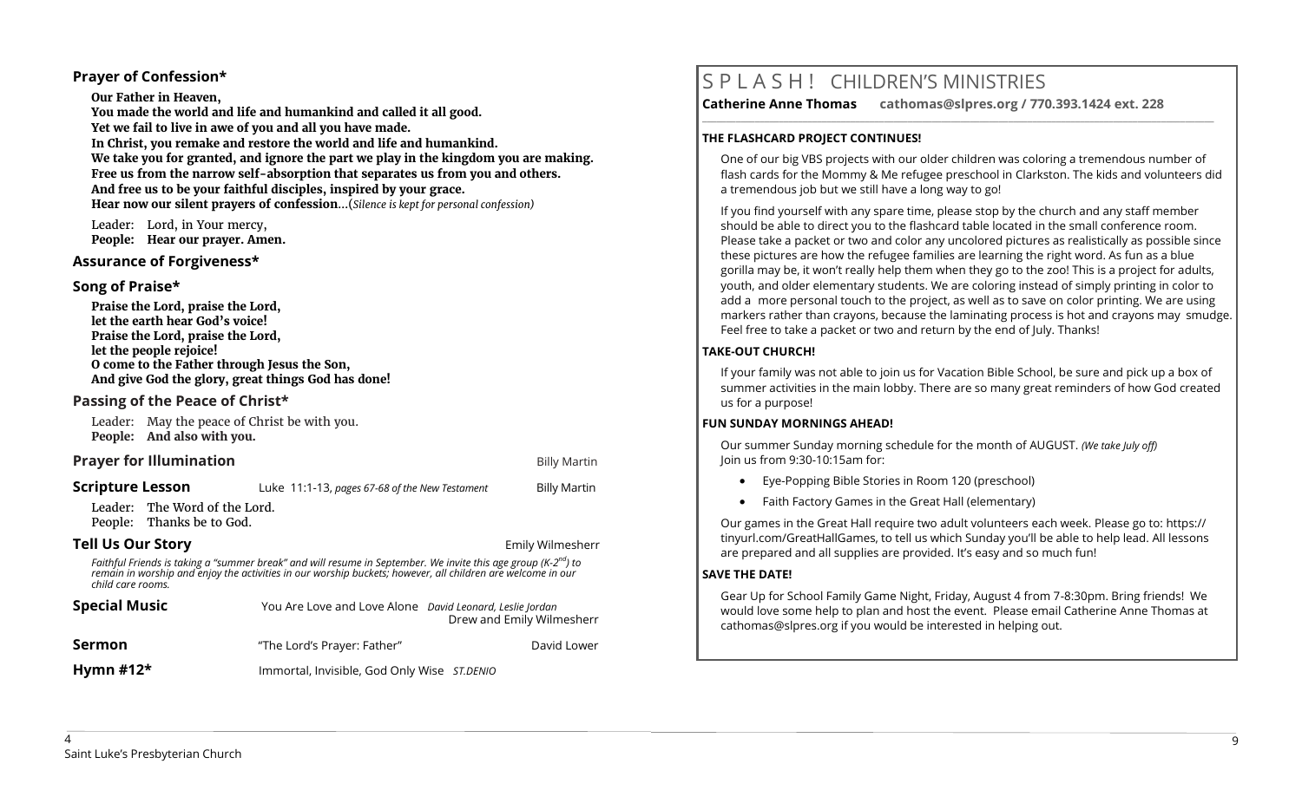### **Prayer of Confession\***

**Our Father in Heaven, You made the world and life and humankind and called it all good. Yet we fail to live in awe of you and all you have made. In Christ, you remake and restore the world and life and humankind. We take you for granted, and ignore the part we play in the kingdom you are making. Free us from the narrow self-absorption that separates us from you and others. And free us to be your faithful disciples, inspired by your grace. Hear now our silent prayers of confession**...(*Silence is kept for personal confession)* 

Leader: Lord, in Your mercy, **People: Hear our prayer. Amen.**

#### **Assurance of Forgiveness\***

#### **Song of Praise\***

**Praise the Lord, praise the Lord, let the earth hear God's voice! Praise the Lord, praise the Lord, let the people rejoice! O come to the Father through Jesus the Son, And give God the glory, great things God has done!** 

### **Passing of the Peace of Christ\***

Leader: May the peace of Christ be with you. **People: And also with you.**

#### **Prayer for Illumination Billy Martin Billy Martin Billy Martin**

| <b>Scripture Lesson</b>                                                                                                                                                                                                                                        |                                                            | Luke 11:1-13, pages 67-68 of the New Testament           |  | <b>Billy Martin</b>       |  |
|----------------------------------------------------------------------------------------------------------------------------------------------------------------------------------------------------------------------------------------------------------------|------------------------------------------------------------|----------------------------------------------------------|--|---------------------------|--|
|                                                                                                                                                                                                                                                                | Leader: The Word of the Lord.<br>People: Thanks be to God. |                                                          |  |                           |  |
| <b>Tell Us Our Story</b>                                                                                                                                                                                                                                       |                                                            |                                                          |  | Emily Wilmesherr          |  |
| Faithful Friends is taking a "summer break" and will resume in September. We invite this age group (K-2 <sup>nd</sup> ) to<br>remain in worship and enjoy the activities in our worship buckets; however, all children are welcome in our<br>child care rooms. |                                                            |                                                          |  |                           |  |
| <b>Special Music</b>                                                                                                                                                                                                                                           |                                                            | You Are Love and Love Alone David Leonard, Leslie Jordan |  | Drew and Emily Wilmesherr |  |
| Sermon                                                                                                                                                                                                                                                         |                                                            | "The Lord's Prayer: Father"                              |  | David Lower               |  |

**Hymn #12\*** Immortal, Invisible, God Only Wise *ST.DENIO*

# S P L A S H ! CHILDREN'S MINISTRIES

**\_\_\_\_\_\_\_\_\_\_\_\_\_\_\_\_\_\_\_\_\_\_\_\_\_\_\_\_\_\_\_\_\_\_\_\_\_\_\_\_\_\_\_\_\_\_\_\_\_\_\_\_\_\_\_\_\_\_\_\_\_\_\_\_\_\_\_\_\_\_\_\_\_\_\_\_\_\_\_\_\_\_\_\_\_\_\_\_\_\_\_\_\_\_\_\_\_\_\_\_\_\_\_\_\_\_\_** 

**Catherine Anne Thomas cathomas@slpres.org / 770.393.1424 ext. 228** 

## **THE FLASHCARD PROJECT CONTINUES!**

One of our big VBS projects with our older children was coloring a tremendous number of flash cards for the Mommy & Me refugee preschool in Clarkston. The kids and volunteers did a tremendous job but we still have a long way to go!

If you find yourself with any spare time, please stop by the church and any staff member should be able to direct you to the flashcard table located in the small conference room. Please take a packet or two and color any uncolored pictures as realistically as possible since these pictures are how the refugee families are learning the right word. As fun as a blue gorilla may be, it won't really help them when they go to the zoo! This is a project for adults, youth, and older elementary students. We are coloring instead of simply printing in color to add a more personal touch to the project, as well as to save on color printing. We are using markers rather than crayons, because the laminating process is hot and crayons may smudge. Feel free to take a packet or two and return by the end of July. Thanks!

#### **TAKE-OUT CHURCH!**

If your family was not able to join us for Vacation Bible School, be sure and pick up a box of summer activities in the main lobby. There are so many great reminders of how God created us for a purpose!

#### **FUN SUNDAY MORNINGS AHEAD!**

Our summer Sunday morning schedule for the month of AUGUST. *(We take July off)*  Join us from 9:30-10:15am for:

- Eye-Popping Bible Stories in Room 120 (preschool)
- Faith Factory Games in the Great Hall (elementary)

Our games in the Great Hall require two adult volunteers each week. Please go to: https:// tinyurl.com/GreatHallGames, to tell us which Sunday you'll be able to help lead. All lessons are prepared and all supplies are provided. It's easy and so much fun!

#### **SAVE THE DATE!**

Gear Up for School Family Game Night, Friday, August 4 from 7-8:30pm. Bring friends! We would love some help to plan and host the event. Please email Catherine Anne Thomas at cathomas@slpres.org if you would be interested in helping out.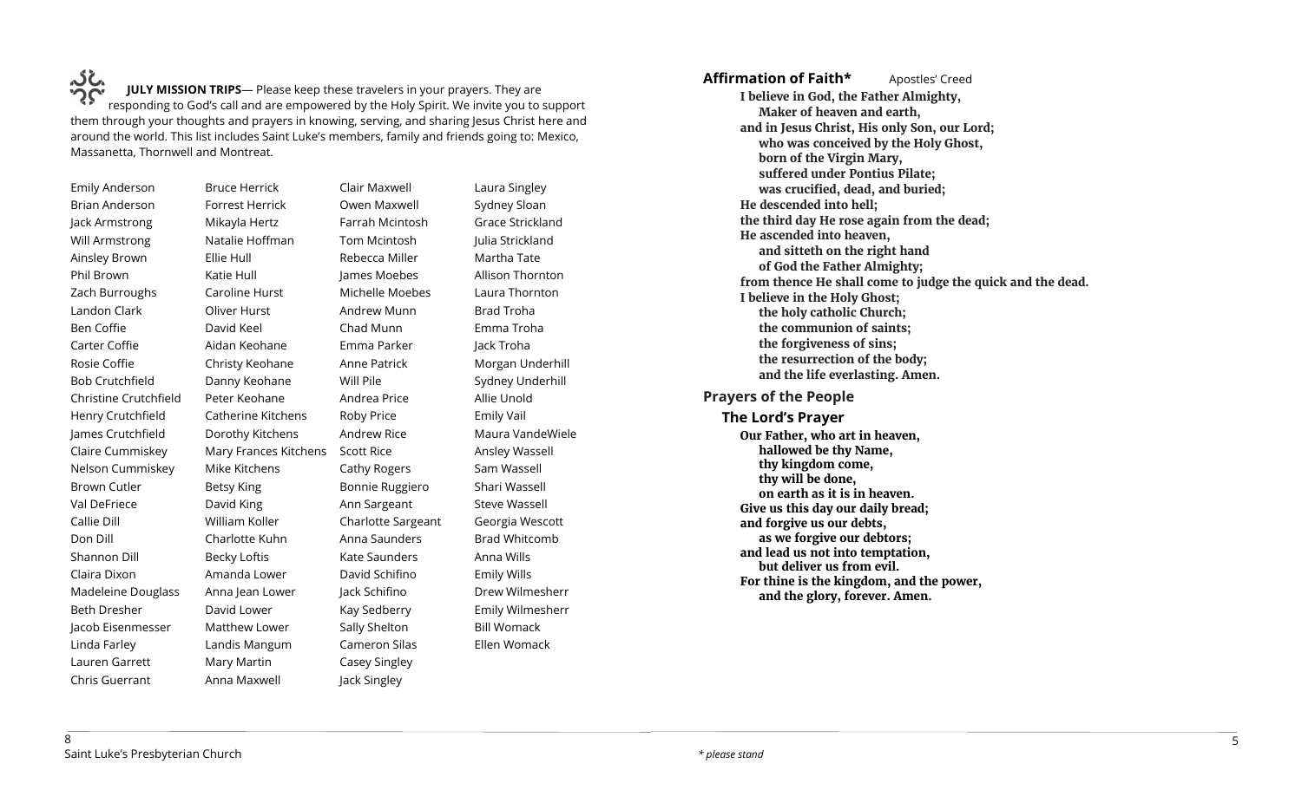**JULY MISSION TRIPS**— Please keep these travelers in your prayers. They are UC.<br>IULY MISSION TRIPS— Please keep these travelers in your prayers. They are<br>responding to God's call and are empowered by the Holy Spirit. We invite you to support them through your thoughts and prayers in knowing, serving, and sharing Jesus Christ here and around the world. This list includes Saint Luke's members, family and friends going to: Mexico, Massanetta, Thornwell and Montreat.

> Ellie Hull Katie Hull

David Keel

Betsy King David King

Emily Anderson Brian Anderson Jack Armstrong Will Armstrong Ainsley Brown Phil Brown Zach Burroughs Landon Clark Ben Coffie Carter Coffie Rosie Coffie Bob Crutchfield Christine Crutchfield Henry Crutchfield James Crutchfield Claire Cummiskey Nelson Cummiskey Brown Cutler Val DeFriece Callie Dill Don Dill Shannon Dill Claira Dixon Madeleine Douglass Beth Dresher Jacob Eisenmesser Linda Farley Lauren Garrett Chris Guerrant

Bruce Herrick Forrest Herrick Mikayla Hertz Natalie Hoffman Caroline Hurst Oliver Hurst Aidan Keohane Christy Keohane Danny Keohane Peter Keohane Catherine Kitchens Dorothy Kitchens Mary Frances Kitchens Scott Rice Mike Kitchens William Koller Charlotte Kuhn Becky Loftis Amanda Lower Anna Jean Lower David Lower Matthew Lower Landis Mangum Mary Martin Anna Maxwell Clair Maxwell Owen Maxwell Farrah Mcintosh Tom Mcintosh Rebecca Miller James Moebes Michelle Moebes Andrew Munn Chad Munn Emma Parker Anne Patrick Will Pile Andrea Price Roby Price Andrew Rice Cathy Rogers Bonnie Ruggiero Ann Sargeant Charlotte Sargeant Anna Saunders Kate Saunders David Schifino Jack Schifino Kay Sedberry Sally Shelton Cameron Silas Casey Singley Jack Singley

Laura Singley Sydney Sloan Grace Strickland Julia Strickland Martha Tate Allison Thornton Laura Thornton Brad Troha Emma Troha Jack Troha Morgan Underhill Sydney Underhill Allie Unold Emily Vail Maura VandeWiele Ansley Wassell Sam Wassell Shari Wassell Steve Wassell Georgia Wescott Brad Whitcomb Anna Wills Emily Wills Drew Wilmesherr Emily Wilmesherr Bill Womack Ellen Womack

**Affirmation of Faith\*** Apostles' Creed **I believe in God, the Father Almighty, Maker of heaven and earth, and in Jesus Christ, His only Son, our Lord; who was conceived by the Holy Ghost, born of the Virgin Mary, suffered under Pontius Pilate; was crucified, dead, and buried; He descended into hell; the third day He rose again from the dead; He ascended into heaven, and sitteth on the right hand of God the Father Almighty; from thence He shall come to judge the quick and the dead. I believe in the Holy Ghost; the holy catholic Church; the communion of saints; the forgiveness of sins; the resurrection of the body; and the life everlasting. Amen. Prayers of the People The Lord's Prayer Our Father, who art in heaven, hallowed be thy Name, thy kingdom come, thy will be done, on earth as it is in heaven. Give us this day our daily bread; and forgive us our debts, as we forgive our debtors; and lead us not into temptation, but deliver us from evil.** 

**For thine is the kingdom, and the power, and the glory, forever. Amen.**